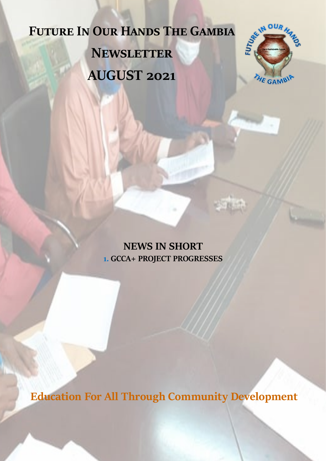## **Future In Our Hands The Gambia Newsletter AUGUST 2021**



**NEWS IN SHORT 1. GCCA+ PROJECT PROGRESSES**

**Education For All Through Community Development**